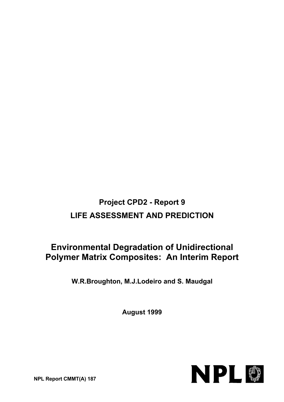# **Project CPD2 - Report 9 LIFE ASSESSMENT AND PREDICTION**

# **Environmental Degradation of Unidirectional Polymer Matrix Composites: An Interim Report**

**W.R.Broughton, M.J.Lodeiro and S. Maudgal**

**August 1999**



**NPL Report CMMT(A) 187**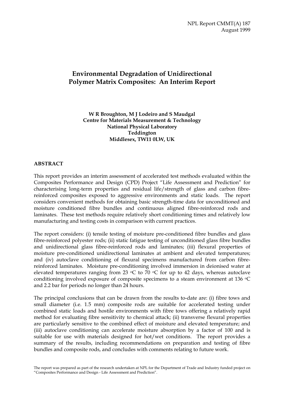NPL Report CMMT(A) 187 August 1999

## **Environmental Degradation of Unidirectional Polymer Matrix Composites: An Interim Report**

**W R Broughton, M J Lodeiro and S Maudgal Centre for Materials Measurement & Technology National Physical Laboratory Teddington Middlesex, TW11 0LW, UK**

## **ABSTRACT**

This report provides an interim assessment of accelerated test methods evaluated within the Composites Performance and Design (CPD) Project "Life Assessment and Prediction" for characterising long-term properties and residual life/strength of glass and carbon fibrereinforced composites exposed to aggressive environments and static loads. The report considers convenient methods for obtaining basic strength-time data for unconditioned and moisture conditioned fibre bundles and continuous aligned fibre-reinforced rods and laminates. These test methods require relatively short conditioning times and relatively low manufacturing and testing costs in comparison with current practices.

The report considers: (i) tensile testing of moisture pre-conditioned fibre bundles and glass fibre-reinforced polyester rods; (ii) static fatigue testing of unconditioned glass fibre bundles and unidirectional glass fibre-reinforced rods and laminates; (iii) flexural properties of moisture pre-conditioned unidirectional laminates at ambient and elevated temperatures; and (iv) autoclave conditioning of flexural specimens manufactured from carbon fibrereinforced laminates. Moisture pre-conditioning involved immersion in deionised water at elevated temperatures ranging from 23  $\circ$ C to 70  $\circ$ C for up to 42 days, whereas autoclave conditioning involved exposure of composite specimens to a steam environment at 136  $\circ$ C and 2.2 bar for periods no longer than 24 hours.

The principal conclusions that can be drawn from the results to-date are: (i) fibre tows and small diameter (i.e. 1.5 mm) composite rods are suitable for accelerated testing under combined static loads and hostile environments with fibre tows offering a relatively rapid method for evaluating fibre sensitivity to chemical attack; (ii) transverse flexural properties are particularly sensitive to the combined effect of moisture and elevated temperature; and (iii) autoclave conditioning can accelerate moisture absorption by a factor of 100 and is suitable for use with materials designed for hot/wet conditions. The report provides a summary of the results, including recommendations on preparation and testing of fibre bundles and composite rods, and concludes with comments relating to future work.

The report was prepared as part of the research undertaken at NPL for the Department of Trade and Industry funded project on "Composites Performance and Design - Life Assessment and Prediction".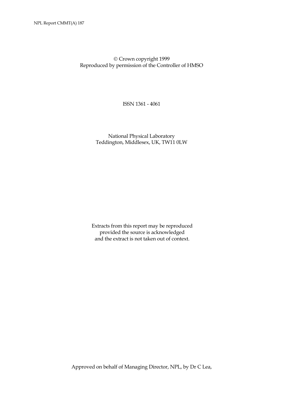Crown copyright 1999 Reproduced by permission of the Controller of HMSO

ISSN 1361 - 4061

 National Physical Laboratory Teddington, Middlesex, UK, TW11 0LW

Extracts from this report may be reproduced provided the source is acknowledged and the extract is not taken out of context.

Approved on behalf of Managing Director, NPL, by Dr C Lea,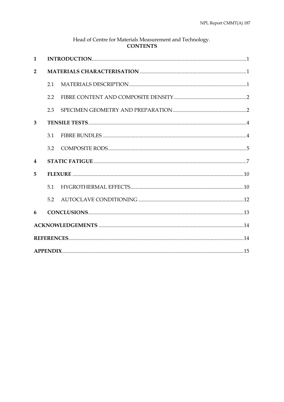| Head of Centre for Materials Measurement and Technology.<br><b>CONTENTS</b> |     |  |  |  |  |
|-----------------------------------------------------------------------------|-----|--|--|--|--|
| $\mathbf{1}$                                                                |     |  |  |  |  |
| $\overline{2}$                                                              |     |  |  |  |  |
|                                                                             | 2.1 |  |  |  |  |
|                                                                             | 2.2 |  |  |  |  |
|                                                                             | 2.3 |  |  |  |  |
| 3                                                                           |     |  |  |  |  |
|                                                                             | 3.1 |  |  |  |  |
|                                                                             | 3.2 |  |  |  |  |
| 4                                                                           |     |  |  |  |  |
| 5                                                                           |     |  |  |  |  |
|                                                                             | 5.1 |  |  |  |  |
|                                                                             | 5.2 |  |  |  |  |
| 6                                                                           |     |  |  |  |  |
|                                                                             |     |  |  |  |  |
|                                                                             |     |  |  |  |  |
|                                                                             |     |  |  |  |  |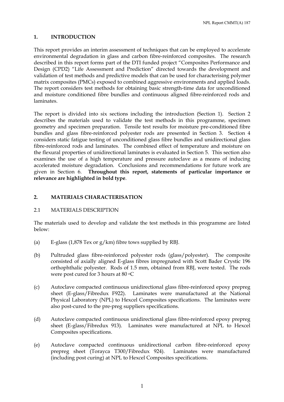NPL Report CMMT(A) 187

## **1. INTRODUCTION**

This report provides an interim assessment of techniques that can be employed to accelerate environmental degradation in glass and carbon fibre-reinforced composites. The research described in this report forms part of the DTI funded project "Composites Performance and Design (CPD2) "Life Assessment and Prediction" directed towards the development and validation of test methods and predictive models that can be used for characterising polymer matrix composites (PMCs) exposed to combined aggressive environments and applied loads. The report considers test methods for obtaining basic strength-time data for unconditioned and moisture conditioned fibre bundles and continuous aligned fibre-reinforced rods and laminates.

The report is divided into six sections including the introduction (Section 1). Section 2 describes the materials used to validate the test methods in this programme, specimen geometry and specimen preparation. Tensile test results for moisture pre-conditioned fibre bundles and glass fibre-reinforced polyester rods are presented in Section 3. Section 4 considers static fatigue testing of unconditioned glass fibre bundles and unidirectional glass fibre-reinforced rods and laminates. The combined effect of temperature and moisture on the flexural properties of unidirectional laminates is evaluated in Section 5. This section also examines the use of a high temperature and pressure autoclave as a means of inducing accelerated moisture degradation. Conclusions and recommendations for future work are given in Section 6. **Throughout this report, statements of particular importance or relevance are highlighted in bold type**.

## **2. MATERIALS CHARACTERISATION**

## 2.1 MATERIALS DESCRIPTION

The materials used to develop and validate the test methods in this programme are listed below:

- (a) E-glass (1,878 Tex or g/km) fibre tows supplied by RBJ.
- (b) Pultruded glass fibre-reinforced polyester rods (glass/polyester). The composite consisted of axially aligned E-glass fibres impregnated with Scott Bader Crystic 196 orthophthalic polyester. Rods of 1.5 mm, obtained from RBJ, were tested. The rods were post cured for 3 hours at 80 °C
- (c) Autoclave compacted continuous unidirectional glass fibre-reinforced epoxy prepreg sheet (E-glass/Fibredux F922). Laminates were manufactured at the National Physical Laboratory (NPL) to Hexcel Composites specifications. The laminates were also post-cured to the pre-preg suppliers specifications.
- (d) Autoclave compacted continuous unidirectional glass fibre-reinforced epoxy prepreg sheet (E-glass/Fibredux 913). Laminates were manufactured at NPL to Hexcel Composites specifications.
- (e) Autoclave compacted continuous unidirectional carbon fibre-reinforced epoxy prepreg sheet (Torayca T300/Fibredux 924). Laminates were manufactured (including post curing) at NPL to Hexcel Composites specifications.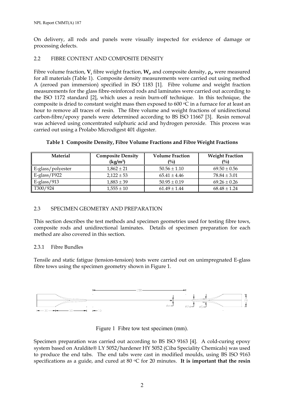On delivery, all rods and panels were visually inspected for evidence of damage or processing defects.

## 2.2 FIBRE CONTENT AND COMPOSITE DENSITY

Fibre volume fraction,  $V_f$  fibre weight fraction,  $W_g$  and composite density,  $\rho_g$ , were measured for all materials (Table 1). Composite density measurements were carried out using method A (zeroed pan immersion) specified in ISO 1183 [1]. Fibre volume and weight fraction measurements for the glass fibre-reinforced rods and laminates were carried out according to the ISO 1172 standard [2], which uses a resin burn-off technique. In this technique, the composite is dried to constant weight mass then exposed to 600  $\circ \overline{C}$  in a furnace for at least an hour to remove all traces of resin. The fibre volume and weight fractions of unidirectional carbon-fibre/epoxy panels were determined according to BS ISO 11667 [3]. Resin removal was achieved using concentrated sulphuric acid and hydrogen peroxide. This process was carried out using a Prolabo Microdigest 401 digester.

| <b>Material</b>   | <b>Composite Density</b><br>(kg/m <sup>3</sup> ) | <b>Volume Fraction</b><br>(%) | <b>Weight Fraction</b><br>(%) |
|-------------------|--------------------------------------------------|-------------------------------|-------------------------------|
| E-glass/polyester | $1,862 \pm 21$                                   | $50.56 \pm 1.10$              | $69.50 \pm 0.56$              |
| $E-glass/F922$    | $2.122 \pm 53$                                   | $65.41 \pm 4.46$              | $78.84 \pm 3.01$              |
| $E-glass/913$     | $1,883 \pm 39$                                   | $50.95 \pm 0.19$              | $69.26 \pm 0.26$              |
| T300/924          | $1,555 \pm 10$                                   | $61.49 \pm 1.44$              | $68.48 \pm 1.24$              |

## **Table 1 Composite Density, Fibre Volume Fractions and Fibre Weight Fractions**

## 2.3 SPECIMEN GEOMETRY AND PREPARATION

This section describes the test methods and specimen geometries used for testing fibre tows, composite rods and unidirectional laminates. Details of specimen preparation for each method are also covered in this section.

## 2.3.1 Fibre Bundles

Tensile and static fatigue (tension-tension) tests were carried out on unimpregnated E-glass fibre tows using the specimen geometry shown in Figure 1.



Figure 1 Fibre tow test specimen (mm).

Specimen preparation was carried out according to BS ISO 9163 [4]. A cold-curing epoxy system based on Araldite® LY 5052/hardener HY 5052 (Ciba Speciality Chemicals) was used to produce the end tabs. The end tabs were cast in modified moulds, using BS ISO 9163 specifications as a guide, and cured at 80 °C for 20 minutes. It is important that the resin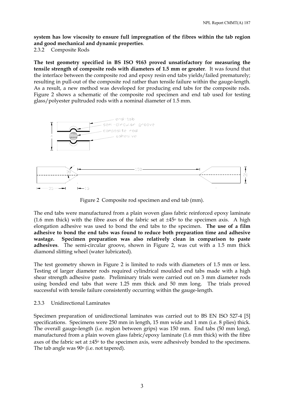**system has low viscosity to ensure full impregnation of the fibres within the tab region and good mechanical and dynamic properties**.

2.3.2 Composite Rods

**The test geometry specified in BS ISO 9163 proved unsatisfactory for measuring the tensile strength of composite rods with diameters of 1.5 mm or greater**. It was found that the interface between the composite rod and epoxy resin end tabs yields/failed prematurely; resulting in pull-out of the composite rod rather than tensile failure within the gauge-length. As a result, a new method was developed for producing end tabs for the composite rods. Figure 2 shows a schematic of the composite rod specimen and end tab used for testing glass/polyester pultruded rods with a nominal diameter of 1.5 mm.



Figure 2 Composite rod specimen and end tab (mm).

The end tabs were manufactured from a plain woven glass fabric reinforced epoxy laminate (1.6 mm thick) with the fibre axes of the fabric set at  $\pm 45^{\circ}$  to the specimen axis. A high elongation adhesive was used to bond the end tabs to the specimen. **The use of a film adhesive to bond the end tabs was found to reduce both preparation time and adhesive wastage. Specimen preparation was also relatively clean in comparison to paste adhesives**. The semi-circular groove, shown in Figure 2, was cut with a 1.5 mm thick diamond slitting wheel (water lubricated).

The test geometry shown in Figure 2 is limited to rods with diameters of 1.5 mm or less. Testing of larger diameter rods required cylindrical moulded end tabs made with a high shear strength adhesive paste. Preliminary trials were carried out on 3 mm diameter rods using bonded end tabs that were 1.25 mm thick and 50 mm long. The trials proved successful with tensile failure consistently occurring within the gauge-length.

## 2.3.3 Unidirectional Laminates

Specimen preparation of unidirectional laminates was carried out to BS EN ISO 527-4 [5] specifications. Specimens were 250 mm in length, 15 mm wide and 1 mm (i.e. 8 plies) thick. The overall gauge-length (i.e. region between grips) was 150 mm. End tabs (50 mm long), manufactured from a plain woven glass fabric/epoxy laminate (1.6 mm thick) with the fibre axes of the fabric set at  $\pm 45^{\circ}$  to the specimen axis, were adhesively bonded to the specimens. The tab angle was  $90^\circ$  (i.e. not tapered).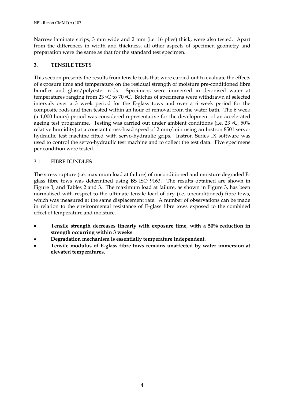Narrow laminate strips, 3 mm wide and 2 mm (i.e. 16 plies) thick, were also tested. Apart from the differences in width and thickness, all other aspects of specimen geometry and preparation were the same as that for the standard test specimen.

## **3. TENSILE TESTS**

This section presents the results from tensile tests that were carried out to evaluate the effects of exposure time and temperature on the residual strength of moisture pre-conditioned fibre bundles and glass/polyester rods. Specimens were immersed in deionised water at temperatures ranging from 23 °C to 70 °C. Batches of specimens were withdrawn at selected intervals over a 3 week period for the E-glass tows and over a 6 week period for the composite rods and then tested within an hour of removal from the water bath. The 6 week (≈ 1,000 hours) period was considered representative for the development of an accelerated ageing test programme. Testing was carried out under ambient conditions (i.e. 23 °C, 50% relative humidity) at a constant cross-head speed of 2 mm/min using an Instron 8501 servohydraulic test machine fitted with servo-hydraulic grips. Instron Series IX software was used to control the servo-hydraulic test machine and to collect the test data. Five specimens per condition were tested.

## 3.1 FIBRE BUNDLES

The stress rupture (i.e. maximum load at failure) of unconditioned and moisture degraded Eglass fibre tows was determined using BS ISO 9163. The results obtained are shown in Figure 3, and Tables 2 and 3. The maximum load at failure, as shown in Figure 3, has been normalised with respect to the ultimate tensile load of dry (i.e. unconditioned) fibre tows, which was measured at the same displacement rate. A number of observations can be made in relation to the environmental resistance of E-glass fibre tows exposed to the combined effect of temperature and moisture.

- **Tensile strength decreases linearly with exposure time, with a 50% reduction in strength occurring within 3 weeks**
- **Degradation mechanism is essentially temperature independent.**
- **Tensile modulus of E-glass fibre tows remains unaffected by water immersion at elevated temperatures.**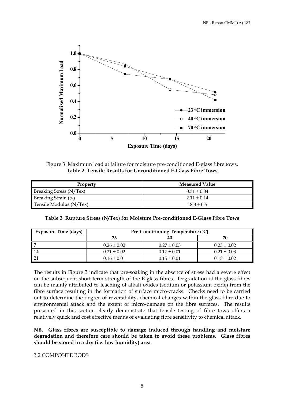

Figure 3 Maximum load at failure for moisture pre-conditioned E-glass fibre tows. **Table 2 Tensile Results for Unconditioned E-Glass Fibre Tows** 

| Property                | <b>Measured Value</b> |  |  |
|-------------------------|-----------------------|--|--|
| Breaking Stress (N/Tex) | $0.31 \pm 0.04$       |  |  |
| Breaking Strain (%)     | $2.11 \pm 0.14$       |  |  |
| Tensile Modulus (N/Tex) | $18.3 \pm 0.5$        |  |  |

**Table 3 Rupture Stress (N/Tex) for Moisture Pre-conditioned E-Glass Fibre Tows** 

| <b>Exposure Time (days)</b> |                 | Pre-Conditioning Temperature (°C) |                 |
|-----------------------------|-----------------|-----------------------------------|-----------------|
|                             | 23              | 40                                | 7Λ              |
|                             | $0.26 \pm 0.02$ | $0.27 \pm 0.03$                   | $0.23 \pm 0.02$ |
|                             | $0.21 \pm 0.02$ | $0.17 \pm 0.01$                   | $0.21 \pm 0.03$ |
|                             | $0.16 \pm 0.01$ | $0.15 \pm 0.01$                   | $0.13 \pm 0.02$ |

The results in Figure 3 indicate that pre-soaking in the absence of stress had a severe effect on the subsequent short-term strength of the E-glass fibres. Degradation of the glass fibres can be mainly attributed to leaching of alkali oxides (sodium or potassium oxide) from the fibre surface resulting in the formation of surface micro-cracks. Checks need to be carried out to determine the degree of reversibility, chemical changes within the glass fibre due to environmental attack and the extent of micro-damage on the fibre surfaces. The results presented in this section clearly demonstrate that tensile testing of fibre tows offers a relatively quick and cost effective means of evaluating fibre sensitivity to chemical attack.

**NB. Glass fibres are susceptible to damage induced through handling and moisture degradation and therefore care should be taken to avoid these problems. Glass fibres should be stored in a dry (i.e. low humidity) area**.

#### 3.2 COMPOSITE RODS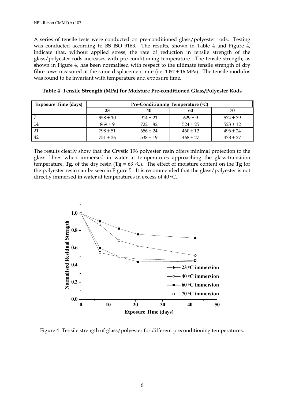A series of tensile tests were conducted on pre-conditioned glass/polyester rods. Testing was conducted according to BS ISO 9163. The results, shown in Table 4 and Figure 4, indicate that, without applied stress, the rate of reduction in tensile strength of the glass/polyester rods increases with pre-conditioning temperature. The tensile strength, as shown in Figure 4, has been normalised with respect to the ultimate tensile strength of dry fibre tows measured at the same displacement rate (i.e.  $1057 \pm 16$  MPa). The tensile modulus was found to be invariant with temperature and exposure time.

| <b>Exposure Time (days)</b> | Pre-Conditioning Temperature (°C) |              |              |              |  |
|-----------------------------|-----------------------------------|--------------|--------------|--------------|--|
|                             | 23                                | 40           | 60           | 70           |  |
|                             | $958 \pm 10$                      | $914 \pm 21$ | $629 \pm 9$  | $574 \pm 79$ |  |
| 14                          | $869 \pm 9$                       | $722 \pm 82$ | $524 \pm 25$ | $523 \pm 12$ |  |
| 21                          | $798 \pm 51$                      | $656 \pm 24$ | $460 \pm 12$ | $496 \pm 24$ |  |
| 42                          | $751 \pm 26$                      | $538 \pm 19$ | $468 \pm 27$ | $478 \pm 27$ |  |

**Table 4 Tensile Strength (MPa) for Moisture Pre-conditioned Glass/Polyester Rods** 

The results clearly show that the Crystic 196 polyester resin offers minimal protection to the glass fibres when immersed in water at temperatures approaching the glass-transition temperature, **Tg**, of the dry resin ( $Tg = 63$  °C). The effect of moisture content on the **Tg** for the polyester resin can be seen in Figure 5. It is recommended that the glass/polyester is not directly immersed in water at temperatures in excess of 40  $\degree$ C.



Figure 4 Tensile strength of glass/polyester for different preconditioning temperatures.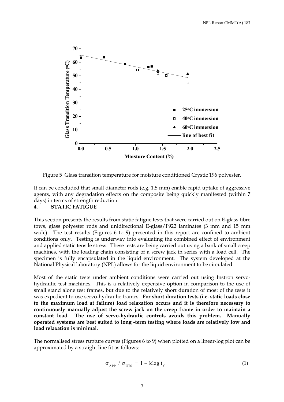

Figure 5 Glass transition temperature for moisture conditioned Crystic 196 polyester.

It can be concluded that small diameter rods (e.g. 1.5 mm) enable rapid uptake of aggressive agents, with any degradation effects on the composite being quickly manifested (within 7 days) in terms of strength reduction.

## **4. STATIC FATIGUE**

This section presents the results from static fatigue tests that were carried out on E-glass fibre tows, glass polyester rods and unidirectional E-glass/F922 laminates (3 mm and 15 mm wide). The test results (Figures 6 to 9) presented in this report are confined to ambient conditions only. Testing is underway into evaluating the combined effect of environment and applied static tensile stress. These tests are being carried out using a bank of small creep machines, with the loading chain consisting of a screw jack in series with a load cell. The specimen is fully encapsulated in the liquid environment. The system developed at the National Physical laboratory (NPL) allows for the liquid environment to be circulated.

Most of the static tests under ambient conditions were carried out using Instron servohydraulic test machines. This is a relatively expensive option in comparison to the use of small stand alone test frames, but due to the relatively short duration of most of the tests it was expedient to use servo-hydraulic frames. **For short duration tests (i.e. static loads close to the maximum load at failure) load relaxation occurs and it is therefore necessary to continuously manually adjust the screw jack on the creep frame in order to maintain a constant load. The use of servo-hydraulic controls avoids this problem. Manually operated systems are best suited to long -term testing where loads are relatively low and load relaxation is minimal**.

The normalised stress rupture curves (Figures 6 to 9) when plotted on a linear-log plot can be approximated by a straight line fit as follows:

$$
\sigma_{\text{APP}} / \sigma_{\text{UTS}} = 1 - \text{klog } t_{\text{f}}
$$
 (1)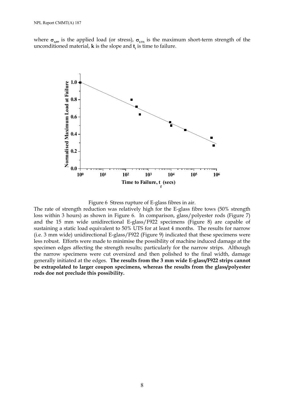where  $\sigma_{\text{APP}}$  is the applied load (or stress),  $\sigma_{\text{UTS}}$  is the maximum short-term strength of the unconditioned material, **k** is the slope and  $\mathbf{t}_f$  is time to failure.



Figure 6 Stress rupture of E-glass fibres in air.

The rate of strength reduction was relatively high for the E-glass fibre tows (50% strength loss within 3 hours) as shown in Figure 6. In comparison, glass/polyester rods (Figure 7) and the 15 mm wide unidirectional E-glass/F922 specimens (Figure 8) are capable of sustaining a static load equivalent to 50% UTS for at least 4 months. The results for narrow (i.e. 3 mm wide) unidirectional E-glass/F922 (Figure 9) indicated that these specimens were less robust. Efforts were made to minimise the possibility of machine induced damage at the specimen edges affecting the strength results; particularly for the narrow strips. Although the narrow specimens were cut oversized and then polished to the final width, damage generally initiated at the edges. **The results from the 3 mm wide E-glass/F922 strips cannot be extrapolated to larger coupon specimens, whereas the results from the glass/polyester rods doe not preclude this possibility.**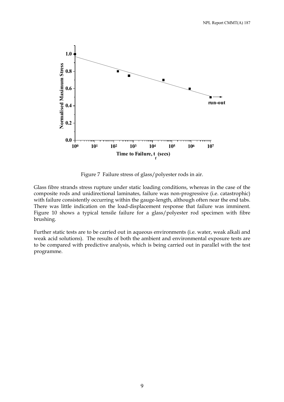

Figure 7 Failure stress of glass/polyester rods in air.

Glass fibre strands stress rupture under static loading conditions, whereas in the case of the composite rods and unidirectional laminates, failure was non-progressive (i.e. catastrophic) with failure consistently occurring within the gauge-length, although often near the end tabs. There was little indication on the load-displacement response that failure was imminent. Figure 10 shows a typical tensile failure for a glass/polyester rod specimen with fibre brushing.

Further static tests are to be carried out in aqueous environments (i.e. water, weak alkali and weak acid solutions). The results of both the ambient and environmental exposure tests are to be compared with predictive analysis, which is being carried out in parallel with the test programme.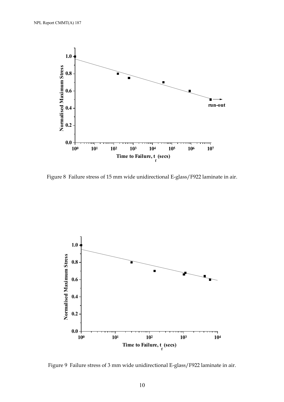

Figure 8 Failure stress of 15 mm wide unidirectional E-glass/F922 laminate in air.



Figure 9 Failure stress of 3 mm wide unidirectional E-glass/F922 laminate in air.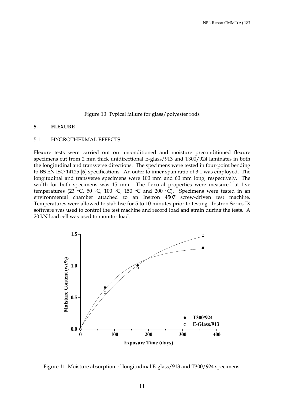Figure 10 Typical failure for glass/polyester rods

#### **5. FLEXURE**

#### 5.1 HYGROTHERMAL EFFECTS

Flexure tests were carried out on unconditioned and moisture preconditioned flexure specimens cut from 2 mm thick unidirectional E-glass/913 and T300/924 laminates in both the longitudinal and transverse directions. The specimens were tested in four-point bending to BS EN ISO 14125 [6] specifications. An outer to inner span ratio of 3:1 was employed. The longitudinal and transverse specimens were 100 mm and 60 mm long, respectively. The width for both specimens was 15 mm. The flexural properties were measured at five temperatures (23  $\degree$ C, 50  $\degree$ C, 100  $\degree$ C, 150  $\degree$ C and 200  $\degree$ C). Specimens were tested in an environmental chamber attached to an Instron 4507 screw-driven test machine. Temperatures were allowed to stabilise for 5 to 10 minutes prior to testing. Instron Series IX software was used to control the test machine and record load and strain during the tests. A 20 kN load cell was used to monitor load.



Figure 11 Moisture absorption of longitudinal E-glass/913 and T300/924 specimens.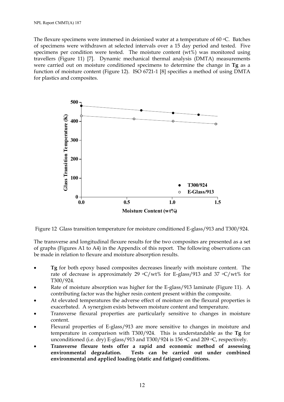The flexure specimens were immersed in deionised water at a temperature of 60  $\degree$ C. Batches of specimens were withdrawn at selected intervals over a 15 day period and tested. Five specimens per condition were tested. The moisture content (wt%) was monitored using travellers (Figure 11) [7]. Dynamic mechanical thermal analysis (DMTA) measurements were carried out on moisture conditioned specimens to determine the change in **Tg** as a function of moisture content (Figure 12). ISO 6721-1 [8] specifies a method of using DMTA for plastics and composites.



Figure 12 Glass transition temperature for moisture conditioned E-glass/913 and T300/924.

The transverse and longitudinal flexure results for the two composites are presented as a set of graphs (Figures A1 to A4) in the Appendix of this report. The following observations can be made in relation to flexure and moisture absorption results.

- **Tg** for both epoxy based composites decreases linearly with moisture content. The rate of decrease is approximately 29  $\rm{C}/\rm{wt}$ % for E-glass/913 and 37  $\rm{C}/\rm{wt}$ % for T300/924.
- Rate of moisture absorption was higher for the E-glass/913 laminate (Figure 11). A contributing factor was the higher resin content present within the composite.
- At elevated temperatures the adverse effect of moisture on the flexural properties is exacerbated. A synergism exists between moisture content and temperature.
- Transverse flexural properties are particularly sensitive to changes in moisture content.
- Flexural properties of E-glass/913 are more sensitive to changes in moisture and temperature in comparison with T300/924. This is understandable as the **Tg** for unconditioned (i.e. dry) E-glass/913 and T300/924 is 156  $\degree$ C and 209  $\degree$ C, respectively.
- **Transverse flexure tests offer a rapid and economic method of assessing environmental degradation. Tests can be carried out under combined environmental and applied loading (static and fatigue) conditions.**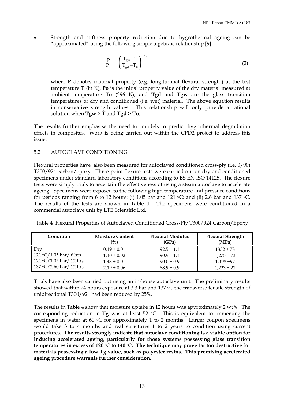• Strength and stiffness property reduction due to hygrothermal ageing can be "approximated" using the following simple algebraic relationship [9]:

$$
\frac{P}{P_o} = \left(\frac{T_{gw} - T}{T_{gd} - T_o}\right)^{1/2}
$$
\n(2)

where **P** denotes material property (e.g. longitudinal flexural strength) at the test temperature **T** (in K), **Po** is the initial property value of the dry material measured at ambient temperature **To** (296 K), and **Tgd** and **Tgw** are the glass transition temperatures of dry and conditioned (i.e. wet) material. The above equation results in conservative strength values. This relationship will only provide a rational solution when **Tgw > T** and **Tgd > To**.

The results further emphasise the need for models to predict hygrothermal degradation effects in composites. Work is being carried out within the CPD2 project to address this issue.

## 5.2 AUTOCLAVE CONDITIONING

Flexural properties have also been measured for autoclaved conditioned cross-ply (i.e. 0/90) T300/924 carbon/epoxy. Three-point flexure tests were carried out on dry and conditioned specimens under standard laboratory conditions according to BS EN ISO 14125. The flexure tests were simply trials to ascertain the effectiveness of using a steam autoclave to accelerate ageing. Specimens were exposed to the following high temperature and pressure conditions for periods ranging from 6 to 12 hours: (i) 1.05 bar and 121  $\circ$ C; and (ii) 2.6 bar and 137  $\circ$ C. The results of the tests are shown in Table 4. The specimens were conditioned in a commercial autoclave unit by LTE Scientific Ltd.

|  |  | Table 4 Flexural Properties of Autoclaved Conditioned Cross-Ply T300/924 Carbon/Epoxy |  |  |
|--|--|---------------------------------------------------------------------------------------|--|--|
|  |  |                                                                                       |  |  |

| Condition                                        | <b>Moisture Content</b><br>(%) | <b>Flexural Modulus</b><br>(GPa) | <b>Flexural Strength</b><br>(MPa) |
|--------------------------------------------------|--------------------------------|----------------------------------|-----------------------------------|
| Dry                                              | $0.19 \pm 0.01$                | $92.5 \pm 1.1$                   | $1332 \pm 78$                     |
| 121 °C/1.05 bar/ 6 hrs                           | $1.10 \pm 0.02$                | $90.9 \pm 1.1$                   | $1,275 \pm 73$                    |
| $121 \text{ °C}/1.05 \text{ bar}/12 \text{ hrs}$ | $1.43 \pm 0.01$                | $90.0 \pm 0.9$                   | $1,198 + 97$                      |
| $137 \text{ °C}/2.60 \text{ bar}/12 \text{ hrs}$ | $2.19 \pm 0.06$                | $88.9 \pm 0.9$                   | $1,223 \pm 21$                    |

Trials have also been carried out using an in-house autoclave unit. The preliminary results showed that within 24 hours exposure at 3.3 bar and 137 °C the transverse tensile strength of unidirectional T300/924 had been reduced by 25%.

The results in Table 4 show that moisture uptake in 12 hours was approximately 2 wt%. The corresponding reduction in **Tg** was at least 52 oC. This is equivalent to immersing the specimens in water at 60  $\circ$ C for approximately 1 to 2 months. Larger coupon specimens would take 3 to 4 months and real structures 1 to 2 years to condition using current procedures. **The results strongly indicate that autoclave conditioning is a viable option for inducing accelerated ageing, particularly for those systems possessing glass transition temperatures in excess of 120 <sup>o</sup> C to 140 <sup>o</sup> C. The technique may prove far too destructive for materials possessing a low Tg value, such as polyester resins. This promising accelerated ageing procedure warrants further consideration.**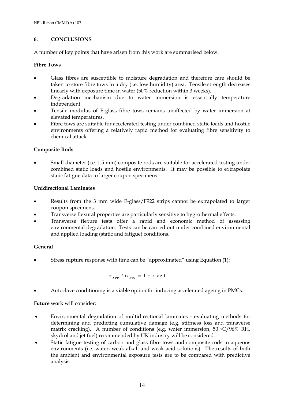## **6. CONCLUSIONS**

A number of key points that have arisen from this work are summarised below.

## **Fibre Tows**

- Glass fibres are susceptible to moisture degradation and therefore care should be taken to store fibre tows in a dry (i.e. low humidity) area. Tensile strength decreases linearly with exposure time in water (50% reduction within 3 weeks).
- Degradation mechanism due to water immersion is essentially temperature independent.
- Tensile modulus of E-glass fibre tows remains unaffected by water immersion at elevated temperatures.
- Fibre tows are suitable for accelerated testing under combined static loads and hostile environments offering a relatively rapid method for evaluating fibre sensitivity to chemical attack.

## **Composite Rods**

• Small diameter (i.e. 1.5 mm) composite rods are suitable for accelerated testing under combined static loads and hostile environments. It may be possible to extrapolate static fatigue data to larger coupon specimens.

## **Unidirectional Laminates**

- Results from the 3 mm wide E-glass/F922 strips cannot be extrapolated to larger coupon specimens.
- Transverse flexural properties are particularly sensitive to hygrothermal effects.
- Transverse flexure tests offer a rapid and economic method of assessing environmental degradation. Tests can be carried out under combined environmental and applied loading (static and fatigue) conditions.

## **General**

• Stress rupture response with time can be "approximated" using Equation (1):

$$
\sigma_{APP} / \sigma_{UTS} = 1 - k \log t_{f}
$$

• Autoclave conditioning is a viable option for inducing accelerated ageing in PMCs.

## **Future work** will consider:

- Environmental degradation of multidirectional laminates evaluating methods for determining and predicting cumulative damage (e.g. stiffness loss and transverse matrix cracking). A number of conditions (e.g. water immersion, 50  $\mathrm{^{\circ}C}/96\%$  RH, skydrol and jet fuel) recommended by UK industry will be considered.
- Static fatigue testing of carbon and glass fibre tows and composite rods in aqueous environments (i.e. water, weak alkali and weak acid solutions). The results of both the ambient and environmental exposure tests are to be compared with predictive analysis.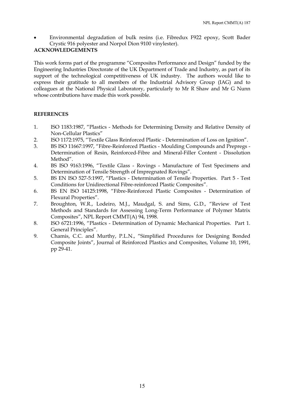• Environmental degradation of bulk resins (i.e. Fibredux F922 epoxy, Scott Bader Crystic 916 polyester and Norpol Dion 9100 vinylester).

## **ACKNOWLEDGEMENTS**

This work forms part of the programme "Composites Performance and Design" funded by the Engineering Industries Directorate of the UK Department of Trade and Industry, as part of its support of the technological competitiveness of UK industry. The authors would like to express their gratitude to all members of the Industrial Advisory Group (IAG) and to colleagues at the National Physical Laboratory, particularly to Mr R Shaw and Mr G Nunn whose contributions have made this work possible.

## **REFERENCES**

- 1. ISO 1183:1987, "Plastics Methods for Determining Density and Relative Density of Non-Cellular Plastics"
- 2. ISO 1172:1975, "Textile Glass Reinforced Plastic Determination of Loss on Ignition".
- 3. BS ISO 11667:1997, "Fibre-Reinforced Plastics Moulding Compounds and Prepregs Determination of Resin, Reinforced-Fibre and Mineral-Filler Content - Dissolution Method".
- 4. BS ISO 9163:1996, "Textile Glass Rovings Manufacture of Test Specimens and Determination of Tensile Strength of Impregnated Rovings".
- 5. BS EN ISO 527-5:1997, "Plastics Determination of Tensile Properties. Part 5 Test Conditions for Unidirectional Fibre-reinforced Plastic Composites".
- 6. BS EN ISO 14125:1998, "Fibre-Reinforced Plastic Composites Determination of Flexural Properties".
- 7. Broughton, W.R., Lodeiro, M.J., Maudgal, S. and Sims, G.D., "Review of Test Methods and Standards for Assessing Long-Term Performance of Polymer Matrix Composites", NPL Report CMMT(A) 94, 1998.
- 8. ISO 6721:1996, "Plastics Determination of Dynamic Mechanical Properties. Part 1. General Principles".
- 9. Chamis, C.C. and Murthy, P.L.N., "Simplified Procedures for Designing Bonded Composite Joints", Journal of Reinforced Plastics and Composites, Volume 10, 1991, pp 29-41.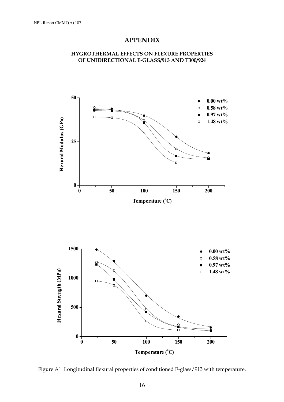## **APPENDIX**





Figure A1 Longitudinal flexural properties of conditioned E-glass/913 with temperature.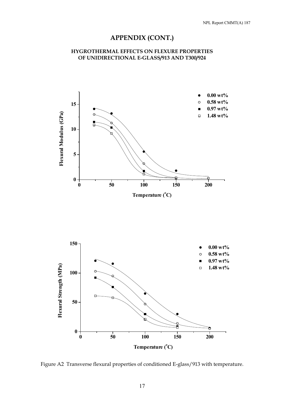# **APPENDIX (CONT.)**

## **HYGROTHERMAL EFFECTS ON FLEXURE PROPERTIES OF UNIDIRECTIONAL E-GLASS/913 AND T300/924**



Figure A2 Transverse flexural properties of conditioned E-glass/913 with temperature.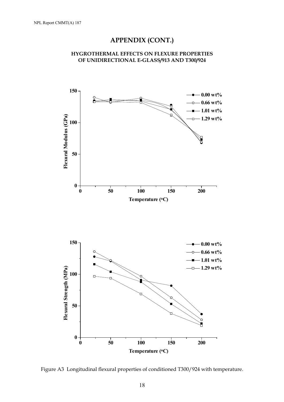# **APPENDIX (CONT.)**





Figure A3 Longitudinal flexural properties of conditioned T300/924 with temperature.